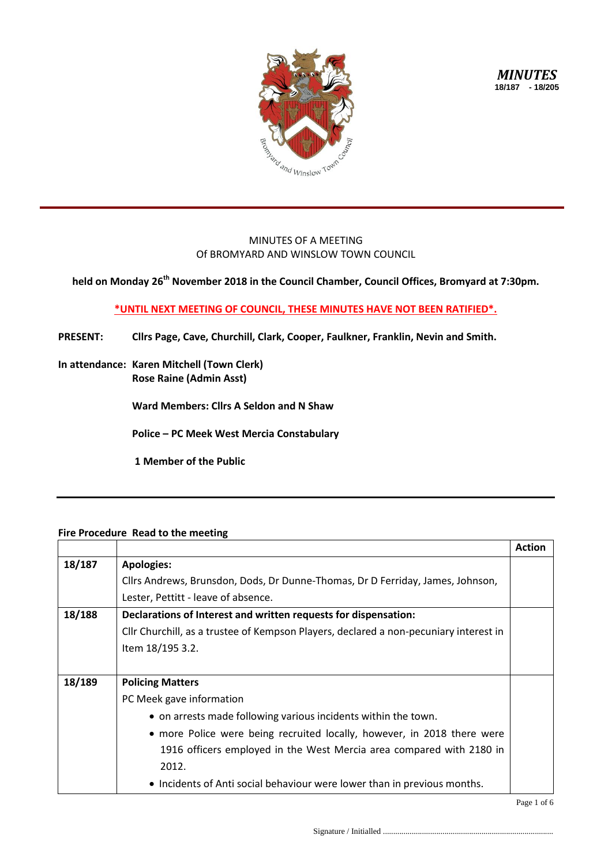

*MINUTES* **18/187 - 18/205**

#### MINUTES OF A MEETING Of BROMYARD AND WINSLOW TOWN COUNCIL

# **held on Monday 26th November 2018 in the Council Chamber, Council Offices, Bromyard at 7:30pm.**

#### **\*UNTIL NEXT MEETING OF COUNCIL, THESE MINUTES HAVE NOT BEEN RATIFIED\*.**

### **PRESENT: Cllrs Page, Cave, Churchill, Clark, Cooper, Faulkner, Franklin, Nevin and Smith.**

**In attendance: Karen Mitchell (Town Clerk) Rose Raine (Admin Asst)**

**Ward Members: Cllrs A Seldon and N Shaw**

**Police – PC Meek West Mercia Constabulary**

**1 Member of the Public**

## **Fire Procedure Read to the meeting**

|        |                                                                                       | <b>Action</b> |
|--------|---------------------------------------------------------------------------------------|---------------|
| 18/187 | <b>Apologies:</b>                                                                     |               |
|        | Cllrs Andrews, Brunsdon, Dods, Dr Dunne-Thomas, Dr D Ferriday, James, Johnson,        |               |
|        | Lester, Pettitt - leave of absence.                                                   |               |
| 18/188 | Declarations of Interest and written requests for dispensation:                       |               |
|        | Cllr Churchill, as a trustee of Kempson Players, declared a non-pecuniary interest in |               |
|        | Item 18/195 3.2.                                                                      |               |
|        |                                                                                       |               |
| 18/189 | <b>Policing Matters</b>                                                               |               |
|        | PC Meek gave information                                                              |               |
|        | • on arrests made following various incidents within the town.                        |               |
|        | • more Police were being recruited locally, however, in 2018 there were               |               |
|        | 1916 officers employed in the West Mercia area compared with 2180 in                  |               |
|        | 2012.                                                                                 |               |
|        | • Incidents of Anti social behaviour were lower than in previous months.              |               |

Page 1 of 6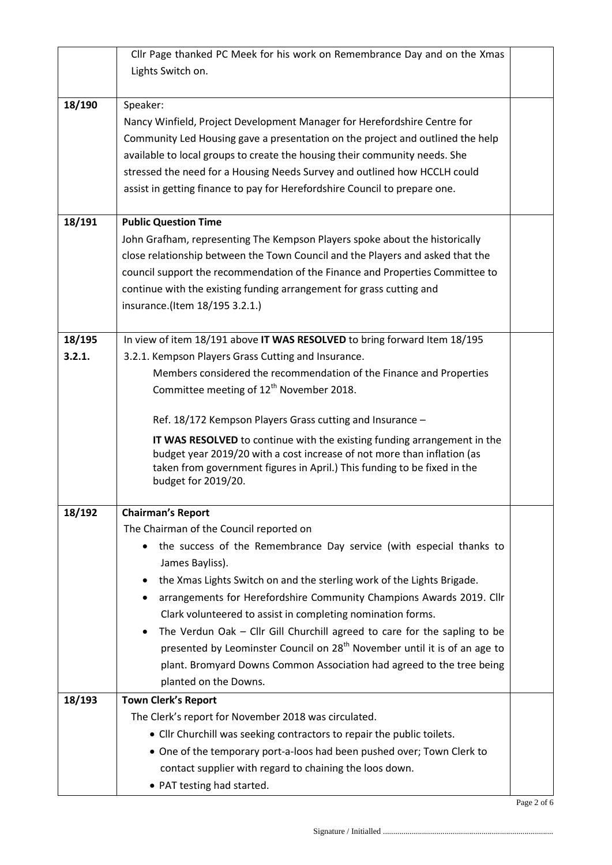|        | Cllr Page thanked PC Meek for his work on Remembrance Day and on the Xmas                                                                           |  |
|--------|-----------------------------------------------------------------------------------------------------------------------------------------------------|--|
|        | Lights Switch on.                                                                                                                                   |  |
|        |                                                                                                                                                     |  |
| 18/190 | Speaker:                                                                                                                                            |  |
|        | Nancy Winfield, Project Development Manager for Herefordshire Centre for                                                                            |  |
|        | Community Led Housing gave a presentation on the project and outlined the help                                                                      |  |
|        | available to local groups to create the housing their community needs. She                                                                          |  |
|        | stressed the need for a Housing Needs Survey and outlined how HCCLH could                                                                           |  |
|        | assist in getting finance to pay for Herefordshire Council to prepare one.                                                                          |  |
|        |                                                                                                                                                     |  |
| 18/191 | <b>Public Question Time</b>                                                                                                                         |  |
|        | John Grafham, representing The Kempson Players spoke about the historically                                                                         |  |
|        | close relationship between the Town Council and the Players and asked that the                                                                      |  |
|        | council support the recommendation of the Finance and Properties Committee to                                                                       |  |
|        | continue with the existing funding arrangement for grass cutting and                                                                                |  |
|        | insurance.(Item 18/195 3.2.1.)                                                                                                                      |  |
|        |                                                                                                                                                     |  |
| 18/195 | In view of item 18/191 above IT WAS RESOLVED to bring forward Item 18/195                                                                           |  |
| 3.2.1. | 3.2.1. Kempson Players Grass Cutting and Insurance.                                                                                                 |  |
|        | Members considered the recommendation of the Finance and Properties                                                                                 |  |
|        | Committee meeting of 12 <sup>th</sup> November 2018.                                                                                                |  |
|        |                                                                                                                                                     |  |
|        | Ref. 18/172 Kempson Players Grass cutting and Insurance -                                                                                           |  |
|        | IT WAS RESOLVED to continue with the existing funding arrangement in the<br>budget year 2019/20 with a cost increase of not more than inflation (as |  |
|        | taken from government figures in April.) This funding to be fixed in the                                                                            |  |
|        | budget for 2019/20.                                                                                                                                 |  |
|        |                                                                                                                                                     |  |
| 18/192 | <b>Chairman's Report</b>                                                                                                                            |  |
|        | The Chairman of the Council reported on                                                                                                             |  |
|        | the success of the Remembrance Day service (with especial thanks to                                                                                 |  |
|        | James Bayliss).                                                                                                                                     |  |
|        | the Xmas Lights Switch on and the sterling work of the Lights Brigade.<br>٠                                                                         |  |
|        | arrangements for Herefordshire Community Champions Awards 2019. Cllr<br>٠                                                                           |  |
|        | Clark volunteered to assist in completing nomination forms.                                                                                         |  |
|        | The Verdun Oak - Cllr Gill Churchill agreed to care for the sapling to be                                                                           |  |
|        | presented by Leominster Council on 28 <sup>th</sup> November until it is of an age to                                                               |  |
|        | plant. Bromyard Downs Common Association had agreed to the tree being                                                                               |  |
|        | planted on the Downs.                                                                                                                               |  |
| 18/193 | <b>Town Clerk's Report</b>                                                                                                                          |  |
|        | The Clerk's report for November 2018 was circulated.                                                                                                |  |
|        | • Cllr Churchill was seeking contractors to repair the public toilets.                                                                              |  |
|        | • One of the temporary port-a-loos had been pushed over; Town Clerk to                                                                              |  |
|        | contact supplier with regard to chaining the loos down.                                                                                             |  |
|        | • PAT testing had started.                                                                                                                          |  |
|        |                                                                                                                                                     |  |

Page 2 of 6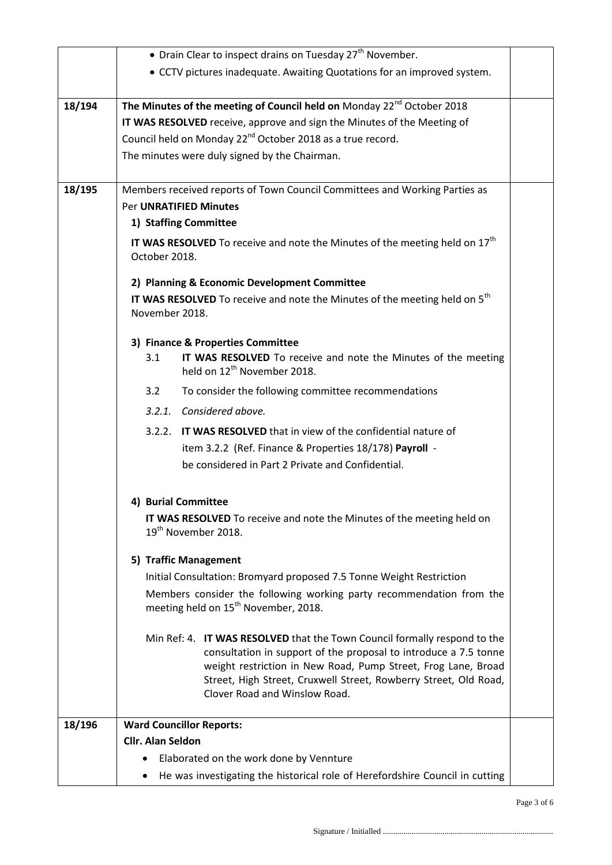|        | • Drain Clear to inspect drains on Tuesday $27th$ November.                                                                                   |  |
|--------|-----------------------------------------------------------------------------------------------------------------------------------------------|--|
|        | • CCTV pictures inadequate. Awaiting Quotations for an improved system.                                                                       |  |
|        |                                                                                                                                               |  |
| 18/194 | The Minutes of the meeting of Council held on Monday 22 <sup>nd</sup> October 2018                                                            |  |
|        | IT WAS RESOLVED receive, approve and sign the Minutes of the Meeting of                                                                       |  |
|        | Council held on Monday 22 <sup>nd</sup> October 2018 as a true record.                                                                        |  |
|        | The minutes were duly signed by the Chairman.                                                                                                 |  |
|        |                                                                                                                                               |  |
| 18/195 | Members received reports of Town Council Committees and Working Parties as<br>Per UNRATIFIED Minutes                                          |  |
|        | 1) Staffing Committee                                                                                                                         |  |
|        |                                                                                                                                               |  |
|        | <b>IT WAS RESOLVED</b> To receive and note the Minutes of the meeting held on $17th$<br>October 2018.                                         |  |
|        | 2) Planning & Economic Development Committee                                                                                                  |  |
|        | <b>IT WAS RESOLVED</b> To receive and note the Minutes of the meeting held on $5th$<br>November 2018.                                         |  |
|        |                                                                                                                                               |  |
|        | 3) Finance & Properties Committee                                                                                                             |  |
|        | 3.1<br>IT WAS RESOLVED To receive and note the Minutes of the meeting<br>held on 12 <sup>th</sup> November 2018.                              |  |
|        | 3.2<br>To consider the following committee recommendations                                                                                    |  |
|        | 3.2.1. Considered above.                                                                                                                      |  |
|        | 3.2.2. IT WAS RESOLVED that in view of the confidential nature of                                                                             |  |
|        | item 3.2.2 (Ref. Finance & Properties 18/178) Payroll -                                                                                       |  |
|        | be considered in Part 2 Private and Confidential.                                                                                             |  |
|        |                                                                                                                                               |  |
|        | 4) Burial Committee                                                                                                                           |  |
|        | IT WAS RESOLVED To receive and note the Minutes of the meeting held on<br>19 <sup>th</sup> November 2018.                                     |  |
|        | 5) Traffic Management                                                                                                                         |  |
|        | Initial Consultation: Bromyard proposed 7.5 Tonne Weight Restriction                                                                          |  |
|        | Members consider the following working party recommendation from the                                                                          |  |
|        | meeting held on 15 <sup>th</sup> November, 2018.                                                                                              |  |
|        | Min Ref: 4. IT WAS RESOLVED that the Town Council formally respond to the<br>consultation in support of the proposal to introduce a 7.5 tonne |  |
|        | weight restriction in New Road, Pump Street, Frog Lane, Broad<br>Street, High Street, Cruxwell Street, Rowberry Street, Old Road,             |  |
|        | Clover Road and Winslow Road.                                                                                                                 |  |
| 18/196 | <b>Ward Councillor Reports:</b>                                                                                                               |  |
|        | <b>Cllr. Alan Seldon</b>                                                                                                                      |  |
|        | Elaborated on the work done by Vennture                                                                                                       |  |
|        | He was investigating the historical role of Herefordshire Council in cutting<br>٠                                                             |  |
|        |                                                                                                                                               |  |

Page 3 of 6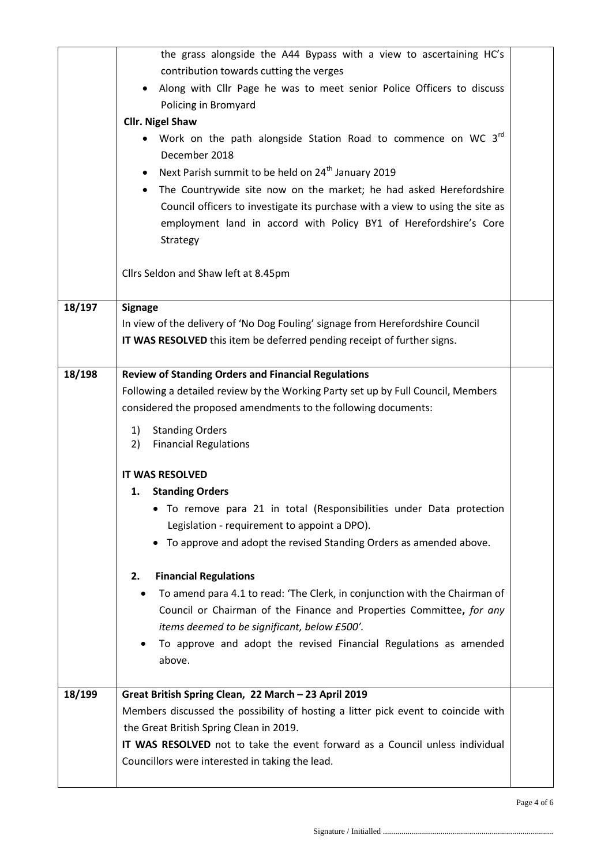|        | the grass alongside the A44 Bypass with a view to ascertaining HC's               |  |
|--------|-----------------------------------------------------------------------------------|--|
|        | contribution towards cutting the verges                                           |  |
|        | Along with Cllr Page he was to meet senior Police Officers to discuss             |  |
|        | Policing in Bromyard                                                              |  |
|        | <b>Cllr. Nigel Shaw</b>                                                           |  |
|        | Work on the path alongside Station Road to commence on WC $3^{rd}$<br>$\bullet$   |  |
|        | December 2018                                                                     |  |
|        | Next Parish summit to be held on 24 <sup>th</sup> January 2019                    |  |
|        | The Countrywide site now on the market; he had asked Herefordshire                |  |
|        | Council officers to investigate its purchase with a view to using the site as     |  |
|        | employment land in accord with Policy BY1 of Herefordshire's Core                 |  |
|        | Strategy                                                                          |  |
|        |                                                                                   |  |
|        | Cllrs Seldon and Shaw left at 8.45pm                                              |  |
|        |                                                                                   |  |
| 18/197 | <b>Signage</b>                                                                    |  |
|        | In view of the delivery of 'No Dog Fouling' signage from Herefordshire Council    |  |
|        | IT WAS RESOLVED this item be deferred pending receipt of further signs.           |  |
|        |                                                                                   |  |
| 18/198 | <b>Review of Standing Orders and Financial Regulations</b>                        |  |
|        | Following a detailed review by the Working Party set up by Full Council, Members  |  |
|        | considered the proposed amendments to the following documents:                    |  |
|        |                                                                                   |  |
|        | <b>Standing Orders</b><br>1)<br><b>Financial Regulations</b><br>2)                |  |
|        |                                                                                   |  |
|        | <b>IT WAS RESOLVED</b>                                                            |  |
|        | <b>Standing Orders</b><br>1.                                                      |  |
|        | To remove para 21 in total (Responsibilities under Data protection                |  |
|        | Legislation - requirement to appoint a DPO).                                      |  |
|        | To approve and adopt the revised Standing Orders as amended above.                |  |
|        |                                                                                   |  |
|        | <b>Financial Regulations</b><br>2.                                                |  |
|        | To amend para 4.1 to read: 'The Clerk, in conjunction with the Chairman of<br>٠   |  |
|        | Council or Chairman of the Finance and Properties Committee, for any              |  |
|        | items deemed to be significant, below £500'.                                      |  |
|        | To approve and adopt the revised Financial Regulations as amended<br>٠            |  |
|        | above.                                                                            |  |
|        |                                                                                   |  |
| 18/199 | Great British Spring Clean, 22 March - 23 April 2019                              |  |
|        | Members discussed the possibility of hosting a litter pick event to coincide with |  |
|        | the Great British Spring Clean in 2019.                                           |  |
|        | IT WAS RESOLVED not to take the event forward as a Council unless individual      |  |
|        | Councillors were interested in taking the lead.                                   |  |
|        |                                                                                   |  |

Page 4 of 6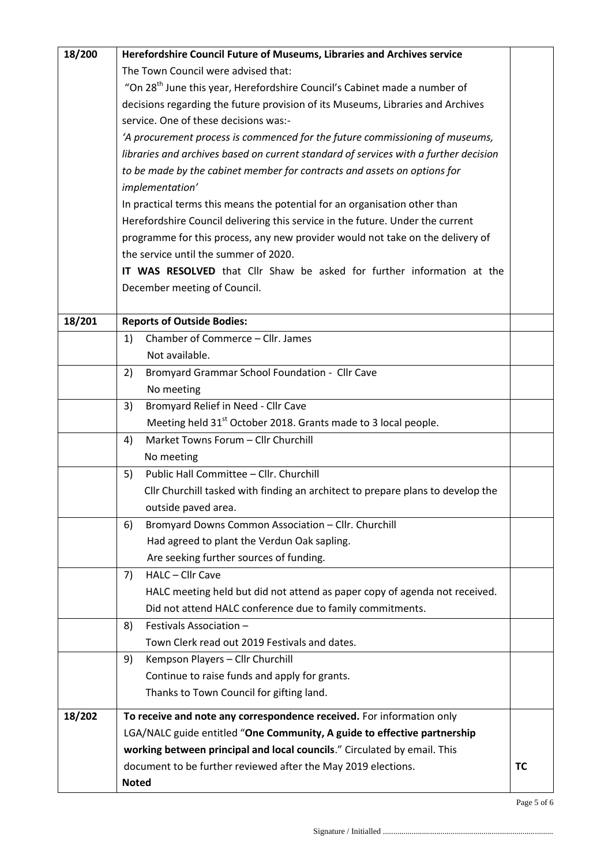| 18/200 | Herefordshire Council Future of Museums, Libraries and Archives service               |    |
|--------|---------------------------------------------------------------------------------------|----|
|        | The Town Council were advised that:                                                   |    |
|        | "On 28 <sup>th</sup> June this year, Herefordshire Council's Cabinet made a number of |    |
|        | decisions regarding the future provision of its Museums, Libraries and Archives       |    |
|        | service. One of these decisions was:-                                                 |    |
|        | 'A procurement process is commenced for the future commissioning of museums,          |    |
|        | libraries and archives based on current standard of services with a further decision  |    |
|        | to be made by the cabinet member for contracts and assets on options for              |    |
|        | implementation'                                                                       |    |
|        | In practical terms this means the potential for an organisation other than            |    |
|        | Herefordshire Council delivering this service in the future. Under the current        |    |
|        | programme for this process, any new provider would not take on the delivery of        |    |
|        | the service until the summer of 2020.                                                 |    |
|        | IT WAS RESOLVED that Cllr Shaw be asked for further information at the                |    |
|        | December meeting of Council.                                                          |    |
|        |                                                                                       |    |
| 18/201 | <b>Reports of Outside Bodies:</b>                                                     |    |
|        | Chamber of Commerce - Cllr. James<br>1)                                               |    |
|        | Not available.                                                                        |    |
|        | Bromyard Grammar School Foundation - Cllr Cave<br>2)                                  |    |
|        | No meeting                                                                            |    |
|        | Bromyard Relief in Need - Cllr Cave<br>3)                                             |    |
|        | Meeting held 31 <sup>st</sup> October 2018. Grants made to 3 local people.            |    |
|        | Market Towns Forum - Cllr Churchill<br>4)                                             |    |
|        | No meeting                                                                            |    |
|        | Public Hall Committee - Cllr. Churchill<br>5)                                         |    |
|        | Cllr Churchill tasked with finding an architect to prepare plans to develop the       |    |
|        | outside paved area.                                                                   |    |
|        | Bromyard Downs Common Association - Cllr. Churchill<br>6)                             |    |
|        | Had agreed to plant the Verdun Oak sapling.                                           |    |
|        | Are seeking further sources of funding.                                               |    |
|        | HALC - Cllr Cave<br>7)                                                                |    |
|        | HALC meeting held but did not attend as paper copy of agenda not received.            |    |
|        | Did not attend HALC conference due to family commitments.                             |    |
|        | Festivals Association -<br>8)                                                         |    |
|        | Town Clerk read out 2019 Festivals and dates.                                         |    |
|        | Kempson Players - Cllr Churchill<br>9)                                                |    |
|        | Continue to raise funds and apply for grants.                                         |    |
|        | Thanks to Town Council for gifting land.                                              |    |
| 18/202 | To receive and note any correspondence received. For information only                 |    |
|        | LGA/NALC guide entitled "One Community, A guide to effective partnership              |    |
|        | working between principal and local councils." Circulated by email. This              |    |
|        | document to be further reviewed after the May 2019 elections.                         | ТC |
|        | <b>Noted</b>                                                                          |    |
|        |                                                                                       |    |